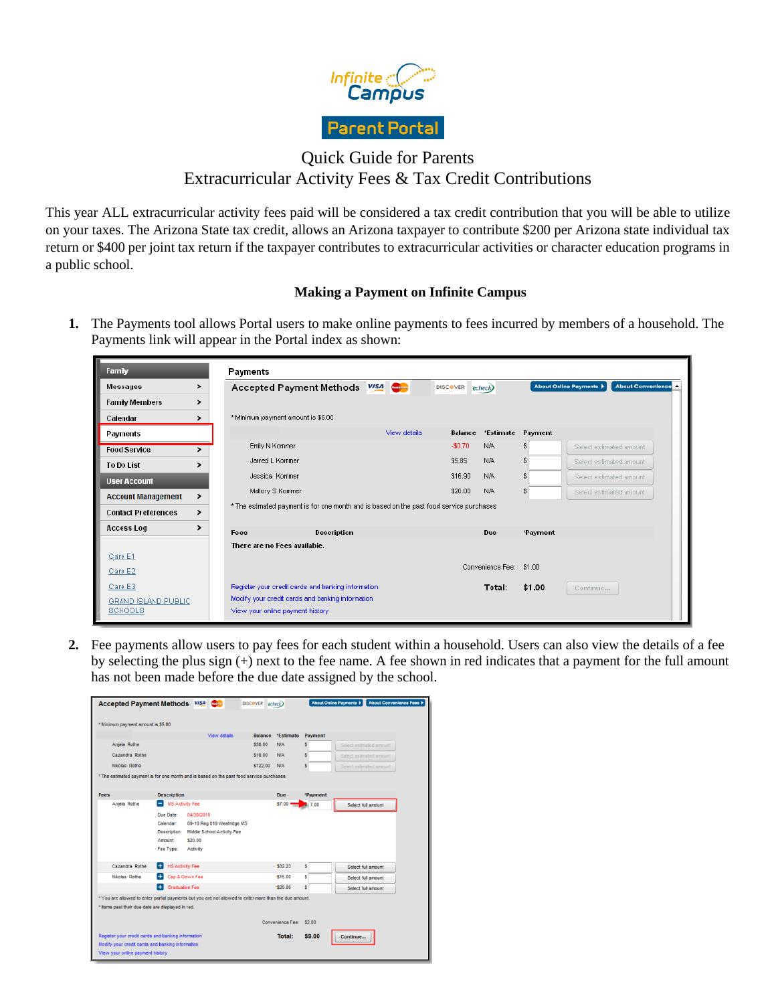

# Quick Guide for Parents Extracurricular Activity Fees & Tax Credit Contributions

This year ALL extracurricular activity fees paid will be considered a tax credit contribution that you will be able to utilize on your taxes. The Arizona State tax credit, allows an Arizona taxpayer to contribute \$200 per Arizona state individual tax return or \$400 per joint tax return if the taxpayer contributes to extracurricular activities or character education programs in a public school.

## **Making a Payment on Infinite Campus**

**1.** The Payments tool allows Portal users to make online payments to fees incurred by members of a household. The Payments link will appear in the Portal index as shown:

| Family                                |   | Payments                                                                                 |                                                                                       |              |                |                                                                          |          |                         |  |  |
|---------------------------------------|---|------------------------------------------------------------------------------------------|---------------------------------------------------------------------------------------|--------------|----------------|--------------------------------------------------------------------------|----------|-------------------------|--|--|
| Messages                              | > | Accepted Payment Methods <i>VISA</i><br><b>DISCOVER</b>                                  |                                                                                       |              |                | About Convenience <sup>2</sup><br><b>About Online Payments  </b><br>echo |          |                         |  |  |
| <b>Family Members</b>                 | ⋗ |                                                                                          |                                                                                       |              |                |                                                                          |          |                         |  |  |
| Calendar                              | ⋗ |                                                                                          | * Minimum payment amount is \$5.00                                                    |              |                |                                                                          |          |                         |  |  |
| Payments                              |   |                                                                                          |                                                                                       | View details | <b>Balance</b> | *Estimate                                                                | Payment  |                         |  |  |
| <b>Food Service</b>                   |   |                                                                                          | Errily N Kommer                                                                       |              | $-$0.70$       | N/A                                                                      | £.       | Select estimated amount |  |  |
| <b>To Do List</b>                     |   | Jarred L Kommer                                                                          | \$5.B5                                                                                | N/A          | £              | Select estimated amount                                                  |          |                         |  |  |
| <b>User Account</b>                   |   | Jessica Kommer                                                                           | \$16.90                                                                               | N/A          | £              | Select estimated amount                                                  |          |                         |  |  |
| <b>Account Management</b>             | > | Mallory S Kommer                                                                         | \$20.00                                                                               | <b>N/A</b>   | \$             | Select estimated amount                                                  |          |                         |  |  |
| <b>Contact Preferences</b>            | ⋗ | * The estimated payment is for one month and is based on the past food service purchases |                                                                                       |              |                |                                                                          |          |                         |  |  |
| <b>Access Log</b>                     |   |                                                                                          |                                                                                       |              |                |                                                                          |          |                         |  |  |
|                                       |   | Fees                                                                                     | Description                                                                           |              |                | Due                                                                      | *Payment |                         |  |  |
| Care E1                               |   |                                                                                          | There are no Fees available.                                                          |              |                |                                                                          |          |                         |  |  |
| Care E2                               |   |                                                                                          |                                                                                       |              |                | Convenience Fee:                                                         | \$1.00   |                         |  |  |
| Care E3                               |   |                                                                                          | Register your credit cards and banking information.                                   |              |                | Total:                                                                   | \$1.00   | Continue                |  |  |
| GRAND ISLAND PUBLIC<br><b>SCHOOLS</b> |   |                                                                                          | Modify your credit cards and banking information.<br>View your online payment history |              |                |                                                                          |          |                         |  |  |

**2.** Fee payments allow users to pay fees for each student within a household. Users can also view the details of a fee by selecting the plus sign (+) next to the fee name. A fee shown in red indicates that a payment for the full amount has not been made before the due date assigned by the school.

| Accepted Payment Methods VISA                      |                            |                                                                                                        | <b>DISCOVER</b> | echeck                  |          | <b>About Convenience Fees )</b><br><b>About Online Payments &gt;</b> |
|----------------------------------------------------|----------------------------|--------------------------------------------------------------------------------------------------------|-----------------|-------------------------|----------|----------------------------------------------------------------------|
| * Minimum payment amount is \$5.00                 |                            |                                                                                                        |                 |                         |          |                                                                      |
|                                                    |                            | View details                                                                                           | <b>Balance</b>  | *Estimate               | Payment  |                                                                      |
| Anjela Rothe                                       |                            |                                                                                                        | \$50.00         | N/A                     | s        | Select estimated amount                                              |
| Cazandra Rothe                                     |                            |                                                                                                        | \$10.00         | N/A                     | s        | Select estimated amount                                              |
| Nikolas Rothe                                      |                            |                                                                                                        | \$122.00 N/A    |                         | s        | Select estimated amount                                              |
|                                                    |                            | * The estimated payment is for one month and is based on the past food service purchases               |                 |                         |          |                                                                      |
| Fees                                               | <b>Description</b>         |                                                                                                        |                 | Due                     | *Payment |                                                                      |
| Aniela Rothe                                       | <b>MS Activity Fee</b>     |                                                                                                        |                 | $$7.00$ =               | 7.00     | Select full amount                                                   |
|                                                    | Due Date:                  | 04/30/2010                                                                                             |                 |                         |          |                                                                      |
|                                                    | Calendar:                  | 09-10 Reg 019 Westridge MS                                                                             |                 |                         |          |                                                                      |
|                                                    |                            | Description: Middle School Activity Fee                                                                |                 |                         |          |                                                                      |
|                                                    | Amount:                    | \$20.00                                                                                                |                 |                         |          |                                                                      |
|                                                    | Fee Type:                  | Activity                                                                                               |                 |                         |          |                                                                      |
| Cazandra Rothe                                     |                            | <b>HS Activity Fee</b>                                                                                 |                 |                         | s        | Select full amount                                                   |
| Nikolas Rothe                                      | Cap & Gown Fee             |                                                                                                        |                 | \$15.00                 | s        | Select full amount                                                   |
|                                                    | Ŧ<br><b>Graduation Fee</b> |                                                                                                        |                 | \$20.00                 | s        | Select full amount                                                   |
|                                                    |                            | * You are allowed to enter partial payments but you are not allowed to enter more than the due amount. |                 |                         |          |                                                                      |
| * Items past their due date are displayed in red.  |                            |                                                                                                        |                 |                         |          |                                                                      |
|                                                    |                            |                                                                                                        |                 | Convenience Fee: \$2.00 |          |                                                                      |
| Register your credit cards and banking information |                            |                                                                                                        |                 | <b>Total:</b>           | \$9.00   | Continue                                                             |
|                                                    |                            |                                                                                                        |                 |                         |          |                                                                      |
| Modify your credit cards and banking information   |                            |                                                                                                        |                 |                         |          |                                                                      |